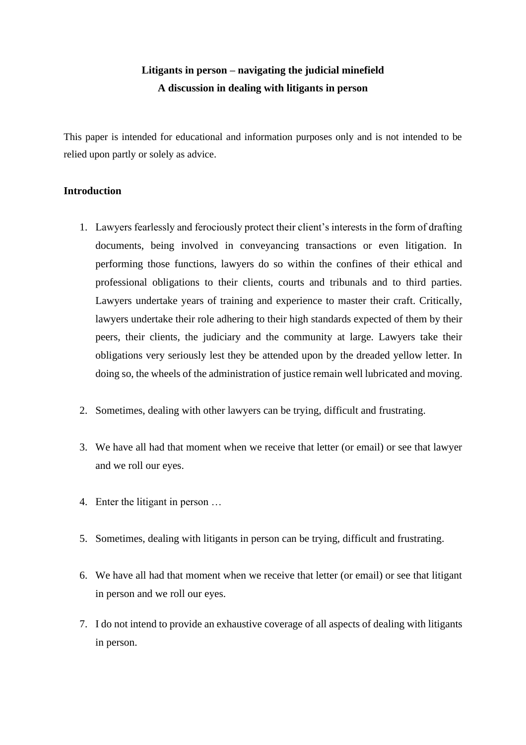# **Litigants in person – navigating the judicial minefield A discussion in dealing with litigants in person**

This paper is intended for educational and information purposes only and is not intended to be relied upon partly or solely as advice.

### **Introduction**

- 1. Lawyers fearlessly and ferociously protect their client's interests in the form of drafting documents, being involved in conveyancing transactions or even litigation. In performing those functions, lawyers do so within the confines of their ethical and professional obligations to their clients, courts and tribunals and to third parties. Lawyers undertake years of training and experience to master their craft. Critically, lawyers undertake their role adhering to their high standards expected of them by their peers, their clients, the judiciary and the community at large. Lawyers take their obligations very seriously lest they be attended upon by the dreaded yellow letter. In doing so, the wheels of the administration of justice remain well lubricated and moving.
- 2. Sometimes, dealing with other lawyers can be trying, difficult and frustrating.
- 3. We have all had that moment when we receive that letter (or email) or see that lawyer and we roll our eyes.
- 4. Enter the litigant in person …
- 5. Sometimes, dealing with litigants in person can be trying, difficult and frustrating.
- 6. We have all had that moment when we receive that letter (or email) or see that litigant in person and we roll our eyes.
- 7. I do not intend to provide an exhaustive coverage of all aspects of dealing with litigants in person.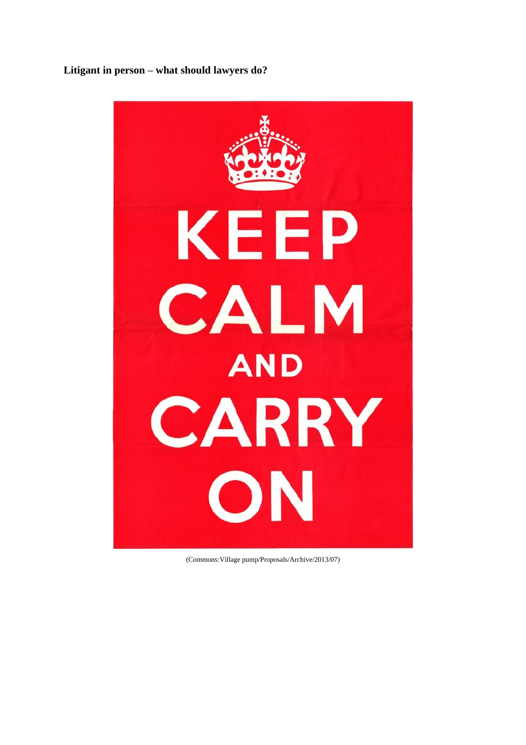# **Litigant in person – what should lawyers do?**



(Commons:Village pump/Proposals/Archive/2013/07)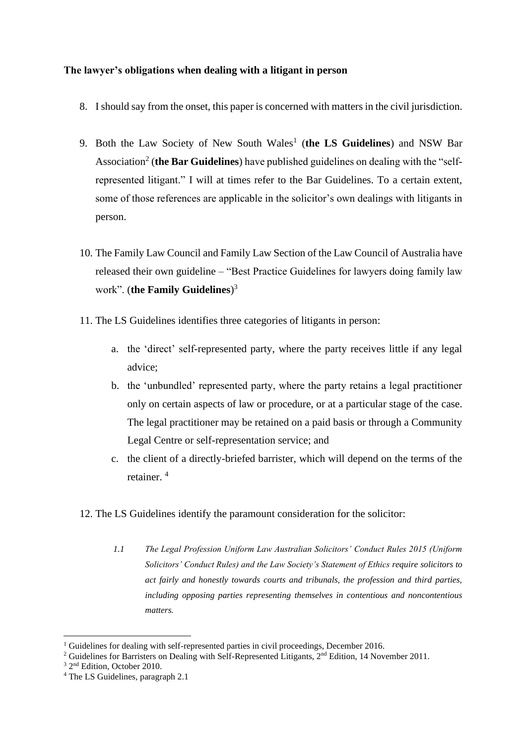# **The lawyer's obligations when dealing with a litigant in person**

- 8. I should say from the onset, this paper is concerned with matters in the civil jurisdiction.
- 9. Both the Law Society of New South Wales<sup>1</sup> (the LS Guidelines) and NSW Bar Association<sup>2</sup> (the Bar Guidelines) have published guidelines on dealing with the "selfrepresented litigant." I will at times refer to the Bar Guidelines. To a certain extent, some of those references are applicable in the solicitor's own dealings with litigants in person.
- 10. The Family Law Council and Family Law Section of the Law Council of Australia have released their own guideline – "Best Practice Guidelines for lawyers doing family law work". (**the Family Guidelines**) 3
- 11. The LS Guidelines identifies three categories of litigants in person:
	- a. the 'direct' self-represented party, where the party receives little if any legal advice;
	- b. the 'unbundled' represented party, where the party retains a legal practitioner only on certain aspects of law or procedure, or at a particular stage of the case. The legal practitioner may be retained on a paid basis or through a Community Legal Centre or self-representation service; and
	- c. the client of a directly-briefed barrister, which will depend on the terms of the retainer. <sup>4</sup>
- 12. The LS Guidelines identify the paramount consideration for the solicitor:
	- *1.1 The Legal Profession Uniform Law Australian Solicitors' Conduct Rules 2015 (Uniform Solicitors' Conduct Rules) and the Law Society's Statement of Ethics require solicitors to act fairly and honestly towards courts and tribunals, the profession and third parties, including opposing parties representing themselves in contentious and noncontentious matters.*

<sup>&</sup>lt;sup>1</sup> Guidelines for dealing with self-represented parties in civil proceedings, December 2016.

<sup>2</sup> Guidelines for Barristers on Dealing with Self-Represented Litigants, 2nd Edition, 14 November 2011.

<sup>&</sup>lt;sup>3</sup> 2<sup>nd</sup> Edition, October 2010.

<sup>4</sup> The LS Guidelines, paragraph 2.1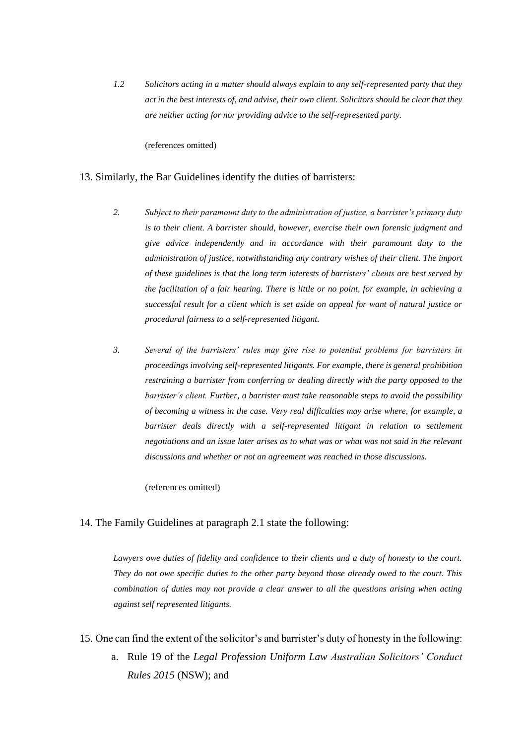*1.2 Solicitors acting in a matter should always explain to any self-represented party that they act in the best interests of, and advise, their own client. Solicitors should be clear that they are neither acting for nor providing advice to the self-represented party.*

(references omitted)

#### 13. Similarly, the Bar Guidelines identify the duties of barristers:

- *2. Subject to their paramount duty to the administration of justice, a barrister's primary duty is to their client. A barrister should, however, exercise their own forensic judgment and give advice independently and in accordance with their paramount duty to the administration of justice, notwithstanding any contrary wishes of their client. The import of these guidelines is that the long term interests of barristers' clients are best served by the facilitation of a fair hearing. There is little or no point, for example, in achieving a successful result for a client which is set aside on appeal for want of natural justice or procedural fairness to a self-represented litigant.*
- *3. Several of the barristers' rules may give rise to potential problems for barristers in proceedings involving self-represented litigants. For example, there is general prohibition restraining a barrister from conferring or dealing directly with the party opposed to the barrister's client. Further, a barrister must take reasonable steps to avoid the possibility of becoming a witness in the case. Very real difficulties may arise where, for example, a barrister deals directly with a self-represented litigant in relation to settlement negotiations and an issue later arises as to what was or what was not said in the relevant discussions and whether or not an agreement was reached in those discussions.*

(references omitted)

#### 14. The Family Guidelines at paragraph 2.1 state the following:

*Lawyers owe duties of fidelity and confidence to their clients and a duty of honesty to the court. They do not owe specific duties to the other party beyond those already owed to the court. This combination of duties may not provide a clear answer to all the questions arising when acting against self represented litigants.*

- 15. One can find the extent of the solicitor's and barrister's duty of honesty in the following:
	- a. Rule 19 of the *Legal Profession Uniform Law Australian Solicitors' Conduct Rules 2015* (NSW); and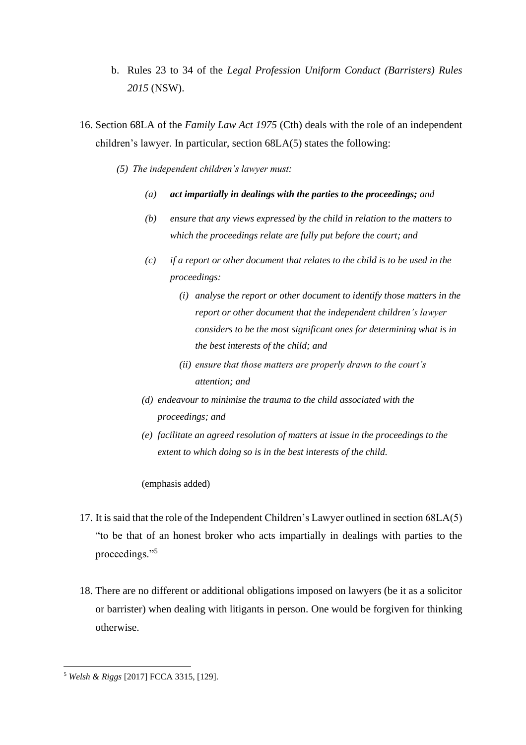- b. Rules 23 to 34 of the *Legal Profession Uniform Conduct (Barristers) Rules 2015* (NSW).
- 16. Section 68LA of the *Family Law Act 1975* (Cth) deals with the role of an independent children's lawyer. In particular, section 68LA(5) states the following:
	- *(5) The independent children's lawyer must:*
		- *(a) act impartially in dealings with the parties to the proceedings; and*
		- *(b) ensure that any views expressed by the child in relation to the matters to which the proceedings relate are fully put before the court; and*
		- *(c) if a report or other document that relates to the child is to be used in the proceedings:*
			- *(i) analyse the report or other document to identify those matters in the report or other document that the independent children's lawyer considers to be the most significant ones for determining what is in the best interests of the child; and*
			- *(ii) ensure that those matters are properly drawn to the court's attention; and*
		- *(d) endeavour to minimise the trauma to the child associated with the proceedings; and*
		- *(e) facilitate an agreed resolution of matters at issue in the proceedings to the extent to which doing so is in the best interests of the child.*

#### (emphasis added)

- 17. It is said that the role of the Independent Children's Lawyer outlined in section 68LA(5) "to be that of an honest broker who acts impartially in dealings with parties to the proceedings."<sup>5</sup>
- 18. There are no different or additional obligations imposed on lawyers (be it as a solicitor or barrister) when dealing with litigants in person. One would be forgiven for thinking otherwise.

<sup>5</sup> *Welsh & Riggs* [2017] FCCA 3315, [129].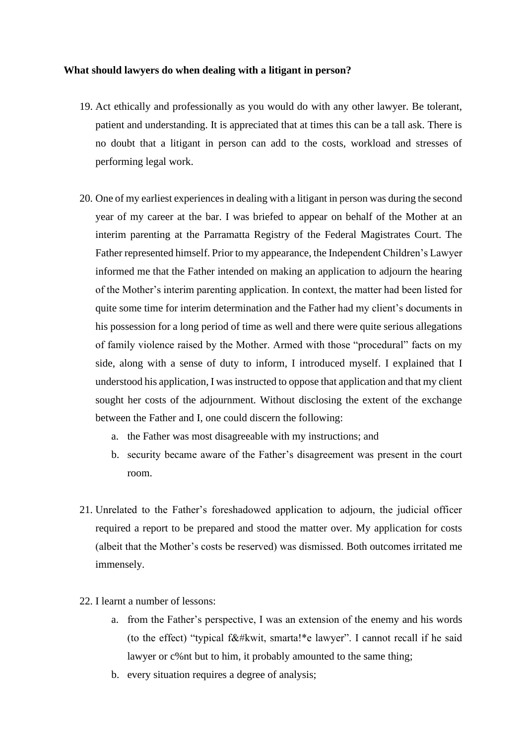#### **What should lawyers do when dealing with a litigant in person?**

- 19. Act ethically and professionally as you would do with any other lawyer. Be tolerant, patient and understanding. It is appreciated that at times this can be a tall ask. There is no doubt that a litigant in person can add to the costs, workload and stresses of performing legal work.
- 20. One of my earliest experiences in dealing with a litigant in person was during the second year of my career at the bar. I was briefed to appear on behalf of the Mother at an interim parenting at the Parramatta Registry of the Federal Magistrates Court. The Father represented himself. Prior to my appearance, the Independent Children's Lawyer informed me that the Father intended on making an application to adjourn the hearing of the Mother's interim parenting application. In context, the matter had been listed for quite some time for interim determination and the Father had my client's documents in his possession for a long period of time as well and there were quite serious allegations of family violence raised by the Mother. Armed with those "procedural" facts on my side, along with a sense of duty to inform, I introduced myself. I explained that I understood his application, I was instructed to oppose that application and that my client sought her costs of the adjournment. Without disclosing the extent of the exchange between the Father and I, one could discern the following:
	- a. the Father was most disagreeable with my instructions; and
	- b. security became aware of the Father's disagreement was present in the court room.
- 21. Unrelated to the Father's foreshadowed application to adjourn, the judicial officer required a report to be prepared and stood the matter over. My application for costs (albeit that the Mother's costs be reserved) was dismissed. Both outcomes irritated me immensely.
- 22. I learnt a number of lessons:
	- a. from the Father's perspective, I was an extension of the enemy and his words (to the effect) "typical f&#kwit, smarta!\*e lawyer". I cannot recall if he said lawyer or c%nt but to him, it probably amounted to the same thing;
	- b. every situation requires a degree of analysis;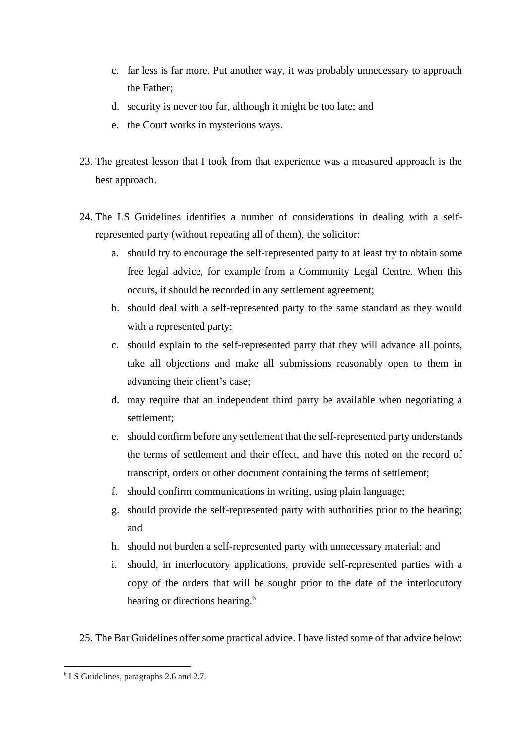- c. far less is far more. Put another way, it was probably unnecessary to approach the Father;
- d. security is never too far, although it might be too late; and
- e. the Court works in mysterious ways.
- 23. The greatest lesson that I took from that experience was a measured approach is the best approach.
- 24. The LS Guidelines identifies a number of considerations in dealing with a selfrepresented party (without repeating all of them), the solicitor:
	- a. should try to encourage the self-represented party to at least try to obtain some free legal advice, for example from a Community Legal Centre. When this occurs, it should be recorded in any settlement agreement;
	- b. should deal with a self-represented party to the same standard as they would with a represented party;
	- c. should explain to the self-represented party that they will advance all points, take all objections and make all submissions reasonably open to them in advancing their client's case;
	- d. may require that an independent third party be available when negotiating a settlement;
	- e. should confirm before any settlement that the self-represented party understands the terms of settlement and their effect, and have this noted on the record of transcript, orders or other document containing the terms of settlement;
	- f. should confirm communications in writing, using plain language;
	- g. should provide the self-represented party with authorities prior to the hearing; and
	- h. should not burden a self-represented party with unnecessary material; and
	- i. should, in interlocutory applications, provide self-represented parties with a copy of the orders that will be sought prior to the date of the interlocutory hearing or directions hearing.<sup>6</sup>
- 25. The Bar Guidelines offer some practical advice. I have listed some of that advice below:

<sup>6</sup> LS Guidelines, paragraphs 2.6 and 2.7.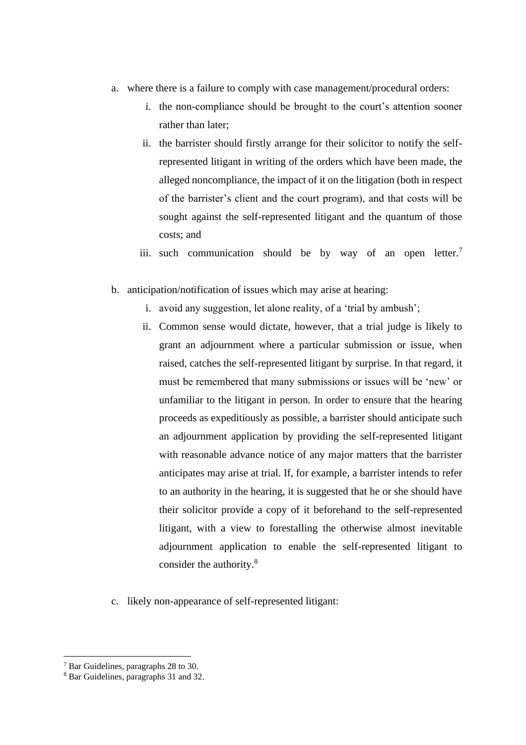- a. where there is a failure to comply with case management/procedural orders:
	- i. the non-compliance should be brought to the court's attention sooner rather than later;
	- ii. the barrister should firstly arrange for their solicitor to notify the selfrepresented litigant in writing of the orders which have been made, the alleged noncompliance, the impact of it on the litigation (both in respect of the barrister's client and the court program), and that costs will be sought against the self-represented litigant and the quantum of those costs; and
	- iii. such communication should be by way of an open letter.<sup>7</sup>
- b. anticipation/notification of issues which may arise at hearing:
	- i. avoid any suggestion, let alone reality, of a 'trial by ambush';
	- ii. Common sense would dictate, however, that a trial judge is likely to grant an adjournment where a particular submission or issue, when raised, catches the self-represented litigant by surprise. In that regard, it must be remembered that many submissions or issues will be 'new' or unfamiliar to the litigant in person. In order to ensure that the hearing proceeds as expeditiously as possible, a barrister should anticipate such an adjournment application by providing the self-represented litigant with reasonable advance notice of any major matters that the barrister anticipates may arise at trial. If, for example, a barrister intends to refer to an authority in the hearing, it is suggested that he or she should have their solicitor provide a copy of it beforehand to the self-represented litigant, with a view to forestalling the otherwise almost inevitable adjournment application to enable the self-represented litigant to consider the authority.<sup>8</sup>
- c. likely non-appearance of self-represented litigant:

<sup>7</sup> Bar Guidelines, paragraphs 28 to 30.

<sup>8</sup> Bar Guidelines, paragraphs 31 and 32.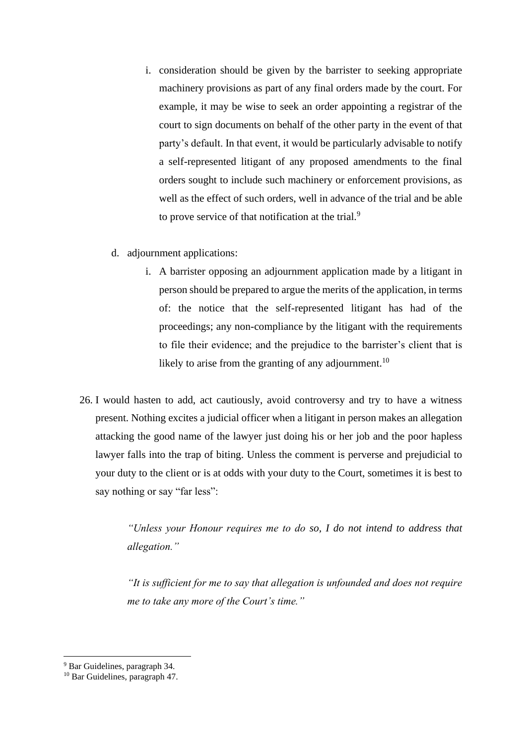- i. consideration should be given by the barrister to seeking appropriate machinery provisions as part of any final orders made by the court. For example, it may be wise to seek an order appointing a registrar of the court to sign documents on behalf of the other party in the event of that party's default. In that event, it would be particularly advisable to notify a self-represented litigant of any proposed amendments to the final orders sought to include such machinery or enforcement provisions, as well as the effect of such orders, well in advance of the trial and be able to prove service of that notification at the trial.<sup>9</sup>
- d. adjournment applications:
	- i. A barrister opposing an adjournment application made by a litigant in person should be prepared to argue the merits of the application, in terms of: the notice that the self-represented litigant has had of the proceedings; any non-compliance by the litigant with the requirements to file their evidence; and the prejudice to the barrister's client that is likely to arise from the granting of any adjournment.<sup>10</sup>
- 26. I would hasten to add, act cautiously, avoid controversy and try to have a witness present. Nothing excites a judicial officer when a litigant in person makes an allegation attacking the good name of the lawyer just doing his or her job and the poor hapless lawyer falls into the trap of biting. Unless the comment is perverse and prejudicial to your duty to the client or is at odds with your duty to the Court, sometimes it is best to say nothing or say "far less":

*"Unless your Honour requires me to do so, I do not intend to address that allegation."*

*"It is sufficient for me to say that allegation is unfounded and does not require me to take any more of the Court's time."*

<sup>9</sup> Bar Guidelines, paragraph 34.

<sup>10</sup> Bar Guidelines, paragraph 47.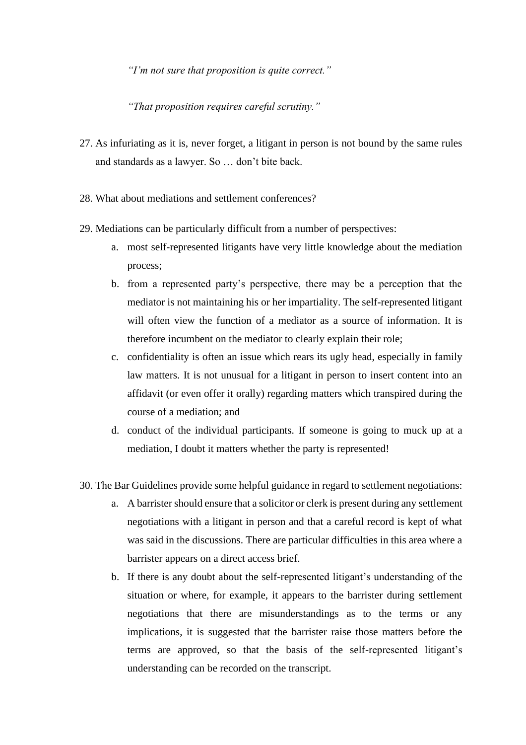*"I'm not sure that proposition is quite correct."*

*"That proposition requires careful scrutiny."*

- 27. As infuriating as it is, never forget, a litigant in person is not bound by the same rules and standards as a lawyer. So … don't bite back.
- 28. What about mediations and settlement conferences?
- 29. Mediations can be particularly difficult from a number of perspectives:
	- a. most self-represented litigants have very little knowledge about the mediation process;
	- b. from a represented party's perspective, there may be a perception that the mediator is not maintaining his or her impartiality. The self-represented litigant will often view the function of a mediator as a source of information. It is therefore incumbent on the mediator to clearly explain their role;
	- c. confidentiality is often an issue which rears its ugly head, especially in family law matters. It is not unusual for a litigant in person to insert content into an affidavit (or even offer it orally) regarding matters which transpired during the course of a mediation; and
	- d. conduct of the individual participants. If someone is going to muck up at a mediation, I doubt it matters whether the party is represented!
- 30. The Bar Guidelines provide some helpful guidance in regard to settlement negotiations:
	- a. A barrister should ensure that a solicitor or clerk is present during any settlement negotiations with a litigant in person and that a careful record is kept of what was said in the discussions. There are particular difficulties in this area where a barrister appears on a direct access brief.
	- b. If there is any doubt about the self-represented litigant's understanding of the situation or where, for example, it appears to the barrister during settlement negotiations that there are misunderstandings as to the terms or any implications, it is suggested that the barrister raise those matters before the terms are approved, so that the basis of the self-represented litigant's understanding can be recorded on the transcript.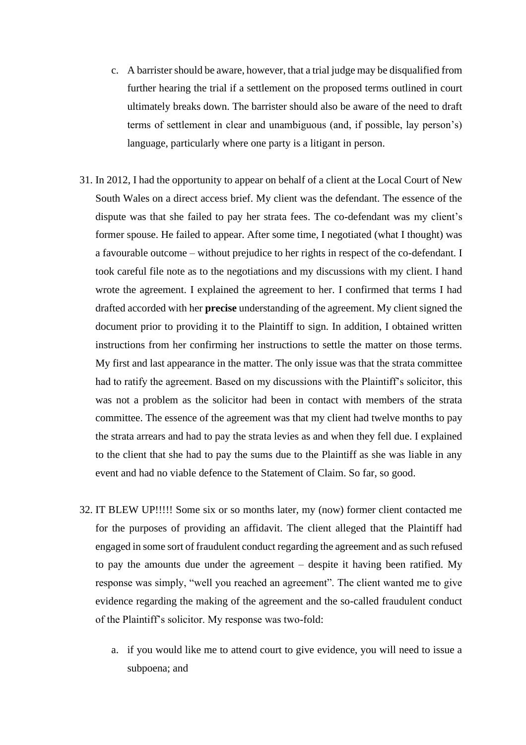- c. A barrister should be aware, however, that a trial judge may be disqualified from further hearing the trial if a settlement on the proposed terms outlined in court ultimately breaks down. The barrister should also be aware of the need to draft terms of settlement in clear and unambiguous (and, if possible, lay person's) language, particularly where one party is a litigant in person.
- 31. In 2012, I had the opportunity to appear on behalf of a client at the Local Court of New South Wales on a direct access brief. My client was the defendant. The essence of the dispute was that she failed to pay her strata fees. The co-defendant was my client's former spouse. He failed to appear. After some time, I negotiated (what I thought) was a favourable outcome – without prejudice to her rights in respect of the co-defendant. I took careful file note as to the negotiations and my discussions with my client. I hand wrote the agreement. I explained the agreement to her. I confirmed that terms I had drafted accorded with her **precise** understanding of the agreement. My client signed the document prior to providing it to the Plaintiff to sign. In addition, I obtained written instructions from her confirming her instructions to settle the matter on those terms. My first and last appearance in the matter. The only issue was that the strata committee had to ratify the agreement. Based on my discussions with the Plaintiff's solicitor, this was not a problem as the solicitor had been in contact with members of the strata committee. The essence of the agreement was that my client had twelve months to pay the strata arrears and had to pay the strata levies as and when they fell due. I explained to the client that she had to pay the sums due to the Plaintiff as she was liable in any event and had no viable defence to the Statement of Claim. So far, so good.
- 32. IT BLEW UP!!!!! Some six or so months later, my (now) former client contacted me for the purposes of providing an affidavit. The client alleged that the Plaintiff had engaged in some sort of fraudulent conduct regarding the agreement and as such refused to pay the amounts due under the agreement – despite it having been ratified. My response was simply, "well you reached an agreement". The client wanted me to give evidence regarding the making of the agreement and the so-called fraudulent conduct of the Plaintiff's solicitor. My response was two-fold:
	- a. if you would like me to attend court to give evidence, you will need to issue a subpoena; and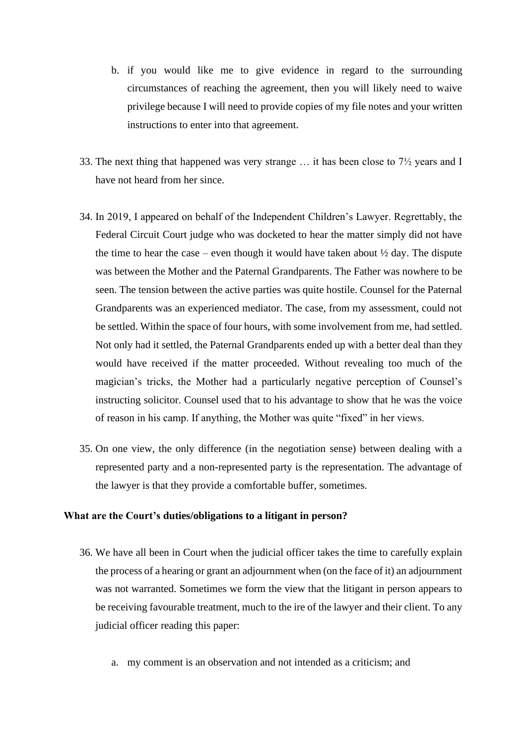- b. if you would like me to give evidence in regard to the surrounding circumstances of reaching the agreement, then you will likely need to waive privilege because I will need to provide copies of my file notes and your written instructions to enter into that agreement.
- 33. The next thing that happened was very strange … it has been close to 7½ years and I have not heard from her since.
- 34. In 2019, I appeared on behalf of the Independent Children's Lawyer. Regrettably, the Federal Circuit Court judge who was docketed to hear the matter simply did not have the time to hear the case – even though it would have taken about  $\frac{1}{2}$  day. The dispute was between the Mother and the Paternal Grandparents. The Father was nowhere to be seen. The tension between the active parties was quite hostile. Counsel for the Paternal Grandparents was an experienced mediator. The case, from my assessment, could not be settled. Within the space of four hours, with some involvement from me, had settled. Not only had it settled, the Paternal Grandparents ended up with a better deal than they would have received if the matter proceeded. Without revealing too much of the magician's tricks, the Mother had a particularly negative perception of Counsel's instructing solicitor. Counsel used that to his advantage to show that he was the voice of reason in his camp. If anything, the Mother was quite "fixed" in her views.
- 35. On one view, the only difference (in the negotiation sense) between dealing with a represented party and a non-represented party is the representation. The advantage of the lawyer is that they provide a comfortable buffer, sometimes.

#### **What are the Court's duties/obligations to a litigant in person?**

- 36. We have all been in Court when the judicial officer takes the time to carefully explain the process of a hearing or grant an adjournment when (on the face of it) an adjournment was not warranted. Sometimes we form the view that the litigant in person appears to be receiving favourable treatment, much to the ire of the lawyer and their client. To any judicial officer reading this paper:
	- a. my comment is an observation and not intended as a criticism; and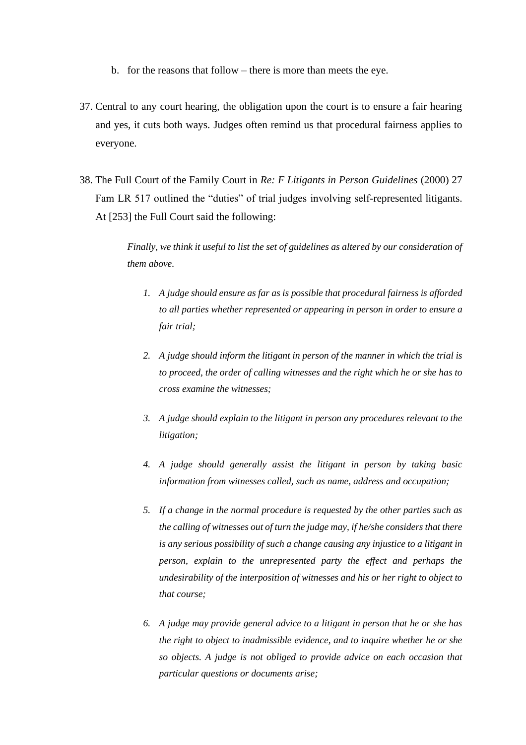- b. for the reasons that follow there is more than meets the eye.
- 37. Central to any court hearing, the obligation upon the court is to ensure a fair hearing and yes, it cuts both ways. Judges often remind us that procedural fairness applies to everyone.
- 38. The Full Court of the Family Court in *Re: F Litigants in Person Guidelines* (2000) 27 Fam LR 517 outlined the "duties" of trial judges involving self-represented litigants. At [253] the Full Court said the following:

*Finally, we think it useful to list the set of guidelines as altered by our consideration of them above.*

- *1. A judge should ensure as far as is possible that procedural fairness is afforded to all parties whether represented or appearing in person in order to ensure a fair trial;*
- *2. A judge should inform the litigant in person of the manner in which the trial is to proceed, the order of calling witnesses and the right which he or she has to cross examine the witnesses;*
- *3. A judge should explain to the litigant in person any procedures relevant to the litigation;*
- *4. A judge should generally assist the litigant in person by taking basic information from witnesses called, such as name, address and occupation;*
- *5. If a change in the normal procedure is requested by the other parties such as the calling of witnesses out of turn the judge may, if he/she considers that there is any serious possibility of such a change causing any injustice to a litigant in person, explain to the unrepresented party the effect and perhaps the undesirability of the interposition of witnesses and his or her right to object to that course;*
- *6. A judge may provide general advice to a litigant in person that he or she has the right to object to inadmissible evidence, and to inquire whether he or she so objects. A judge is not obliged to provide advice on each occasion that particular questions or documents arise;*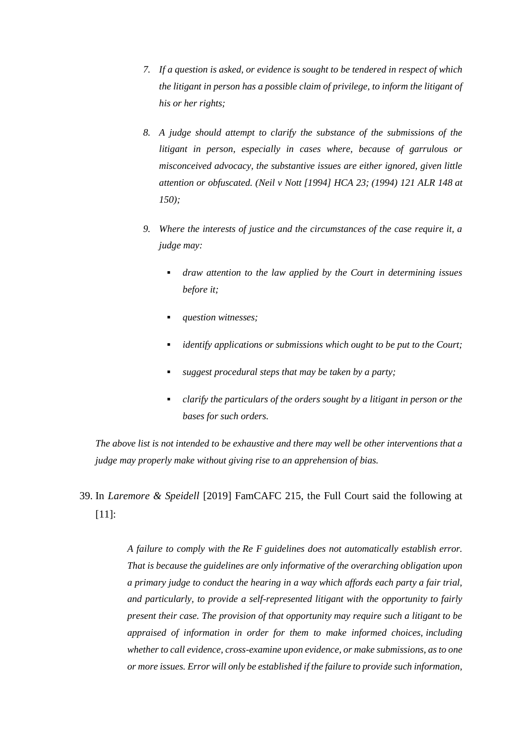- *7. If a question is asked, or evidence is sought to be tendered in respect of which the litigant in person has a possible claim of privilege, to inform the litigant of his or her rights;*
- *8. A judge should attempt to clarify the substance of the submissions of the litigant in person, especially in cases where, because of garrulous or misconceived advocacy, the substantive issues are either ignored, given little attention or obfuscated. (Neil v Nott [\[1994\] HCA 23;](http://www.austlii.edu.au/cgi-bin/viewdoc/au/cases/cth/HCA/1994/23.html) [\(1994\) 121 ALR 148](http://www.austlii.edu.au/cgi-bin/LawCite?cit=%281994%29%20121%20ALR%20148) at 150);*
- *9. Where the interests of justice and the circumstances of the case require it, a judge may:*
	- *draw attention to the law applied by the Court in determining issues before it;*
	- *question witnesses;*
	- *identify applications or submissions which ought to be put to the Court;*
	- suggest procedural steps that may be taken by a party;
	- *clarify the particulars of the orders sought by a litigant in person or the bases for such orders.*

*The above list is not intended to be exhaustive and there may well be other interventions that a judge may properly make without giving rise to an apprehension of bias.*

39. In *Laremore & Speidell* [2019] FamCAFC 215, the Full Court said the following at [11]:

> *A failure to comply with the Re F guidelines does not automatically establish error. That is because the guidelines are only informative of the overarching obligation upon a primary judge to conduct the hearing in a way which affords each party a fair trial, and particularly, to provide a self-represented litigant with the opportunity to fairly present their case. The provision of that opportunity may require such a litigant to be appraised of information in order for them to make informed choices, including whether to call evidence, cross-examine upon evidence, or make submissions, as to one or more issues. Error will only be established if the failure to provide such information,*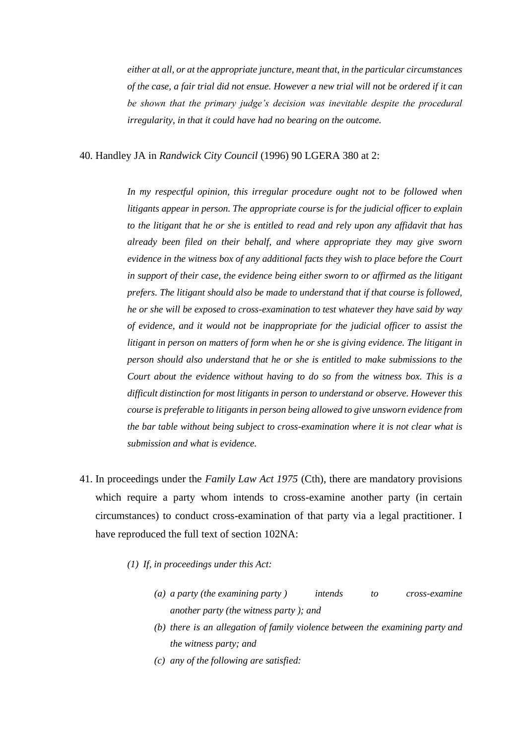*either at all, or at the appropriate juncture, meant that, in the particular circumstances of the case, a fair trial did not ensue. However a new trial will not be ordered if it can be shown that the primary judge's decision was inevitable despite the procedural irregularity, in that it could have had no bearing on the outcome.*

40. Handley JA in *Randwick City Council* (1996) 90 LGERA 380 at 2:

*In my respectful opinion, this irregular procedure ought not to be followed when litigants appear in person. The appropriate course is for the judicial officer to explain to the litigant that he or she is entitled to read and rely upon any affidavit that has already been filed on their behalf, and where appropriate they may give sworn evidence in the witness box of any additional facts they wish to place before the Court in support of their case, the evidence being either sworn to or affirmed as the litigant prefers. The litigant should also be made to understand that if that course is followed, he or she will be exposed to cross-examination to test whatever they have said by way of evidence, and it would not be inappropriate for the judicial officer to assist the litigant in person on matters of form when he or she is giving evidence. The litigant in person should also understand that he or she is entitled to make submissions to the Court about the evidence without having to do so from the witness box. This is a difficult distinction for most litigants in person to understand or observe. However this course is preferable to litigants in person being allowed to give unsworn evidence from the bar table without being subject to cross-examination where it is not clear what is submission and what is evidence.*

- 41. In proceedings under the *Family Law Act 1975* (Cth), there are mandatory provisions which require a party whom intends to cross-examine another party (in certain circumstances) to conduct cross-examination of that party via a legal practitioner. I have reproduced the full text of section 102NA:
	- *(1) If, in [proceedings](http://classic.austlii.edu.au/au/legis/cth/consol_act/fla1975114/s102q.html#proceedings) under [this Act:](http://classic.austlii.edu.au/au/legis/cth/consol_act/fla1975114/s4.html#this_act)*
		- *(a) a [party](http://classic.austlii.edu.au/au/legis/cth/consol_act/fla1975114/s102p.html#party) (the examining [party](http://classic.austlii.edu.au/au/legis/cth/consol_act/fla1975114/s102p.html#party) ) intends to cross-examine another [party](http://classic.austlii.edu.au/au/legis/cth/consol_act/fla1975114/s102p.html#party) (the witness [party](http://classic.austlii.edu.au/au/legis/cth/consol_act/fla1975114/s102p.html#party) ); and*
		- *(b) there is an allegation of [family violence](http://classic.austlii.edu.au/au/legis/cth/consol_act/fla1975114/s4.html#family_violence) between the examining [party](http://classic.austlii.edu.au/au/legis/cth/consol_act/fla1975114/s102p.html#party) and the witness [party;](http://classic.austlii.edu.au/au/legis/cth/consol_act/fla1975114/s102p.html#party) and*
		- *(c) any of the following are satisfied:*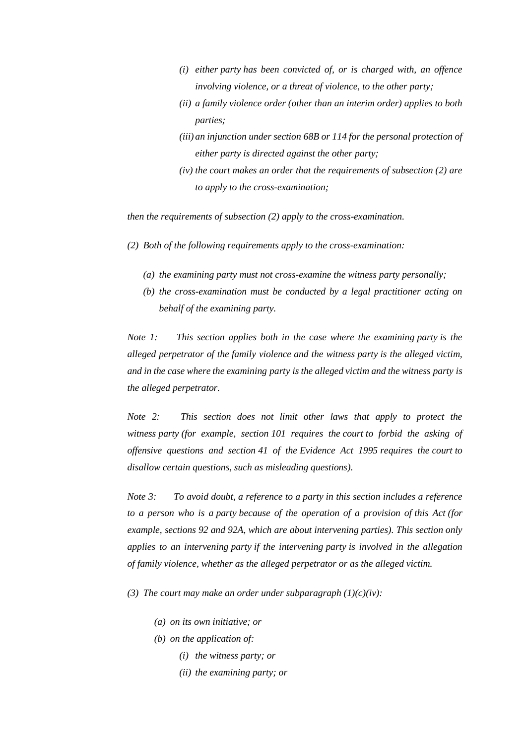- *(i) either [party](http://classic.austlii.edu.au/au/legis/cth/consol_act/fla1975114/s102p.html#party) has been convicted of, or is charged with, an offence involving violence, or a threat of violence, to the other [party;](http://classic.austlii.edu.au/au/legis/cth/consol_act/fla1975114/s102p.html#party)*
- *(ii) a [family violence order](http://classic.austlii.edu.au/au/legis/cth/consol_act/fla1975114/s4.html#family_violence_order) (other than an interim order) applies to both parties;*
- *(iii) an injunction under section 68B or 114 for the personal protection of either [party](http://classic.austlii.edu.au/au/legis/cth/consol_act/fla1975114/s102p.html#party) is directed against the other [party;](http://classic.austlii.edu.au/au/legis/cth/consol_act/fla1975114/s102p.html#party)*
- *(iv) the [court](http://classic.austlii.edu.au/au/legis/cth/consol_act/fla1975114/s20.html#court) makes an order that the requirements of [subsection](http://classic.austlii.edu.au/au/legis/cth/consol_act/fla1975114/s102p.html#subsection) (2) are to apply to the cross-examination;*

*then the requirements of [subsection](http://classic.austlii.edu.au/au/legis/cth/consol_act/fla1975114/s102p.html#subsection) (2) apply to the cross-examination.*

- *(2) Both of the following requirements apply to the cross-examination:*
	- *(a) the examining [party](http://classic.austlii.edu.au/au/legis/cth/consol_act/fla1975114/s102p.html#party) must not cross-examine the witness [party](http://classic.austlii.edu.au/au/legis/cth/consol_act/fla1975114/s102p.html#party) personally;*
	- *(b) the cross-examination must be conducted by a legal practitioner acting on behalf of the examining [party.](http://classic.austlii.edu.au/au/legis/cth/consol_act/fla1975114/s102p.html#party)*

*Note 1: This section applies both in the case where the examining [party](http://classic.austlii.edu.au/au/legis/cth/consol_act/fla1975114/s102p.html#party) is the alleged perpetrator of the [family violence](http://classic.austlii.edu.au/au/legis/cth/consol_act/fla1975114/s4.html#family_violence) and the witness [party](http://classic.austlii.edu.au/au/legis/cth/consol_act/fla1975114/s102p.html#party) is the alleged victim, and in the case where the examining [party](http://classic.austlii.edu.au/au/legis/cth/consol_act/fla1975114/s102p.html#party) is the alleged victim and the witness [party](http://classic.austlii.edu.au/au/legis/cth/consol_act/fla1975114/s102p.html#party) is the alleged perpetrator.*

*Note 2: This section does not limit other laws that apply to protect the witness [party](http://classic.austlii.edu.au/au/legis/cth/consol_act/fla1975114/s102p.html#party) (for example, section 101 requires the [court](http://classic.austlii.edu.au/au/legis/cth/consol_act/fla1975114/s20.html#court) to forbid the asking of offensive questions and section 41 of the Evidence Act 1995 requires the [court](http://classic.austlii.edu.au/au/legis/cth/consol_act/fla1975114/s20.html#court) to disallow certain questions, such as misleading questions).*

*Note 3: To avoid doubt, a reference to a [party](http://classic.austlii.edu.au/au/legis/cth/consol_act/fla1975114/s102p.html#party) in this section includes a reference to a person who is a [party](http://classic.austlii.edu.au/au/legis/cth/consol_act/fla1975114/s102p.html#party) because of the operation of a provision of [this Act](http://classic.austlii.edu.au/au/legis/cth/consol_act/fla1975114/s4.html#this_act) (for example, sections 92 and 92A, which are about intervening parties). This section only applies to an intervening [party](http://classic.austlii.edu.au/au/legis/cth/consol_act/fla1975114/s102p.html#party) if the intervening [party](http://classic.austlii.edu.au/au/legis/cth/consol_act/fla1975114/s102p.html#party) is involved in the allegation of [family violence,](http://classic.austlii.edu.au/au/legis/cth/consol_act/fla1975114/s4.html#family_violence) whether as the alleged perpetrator or as the alleged victim.*

*(3) The [court](http://classic.austlii.edu.au/au/legis/cth/consol_act/fla1975114/s20.html#court) may make an order under subparagraph (1)(c)(iv):*

- *(a) on its own initiative; or*
- *(b) on the application of:*
	- *(i) the witness [party;](http://classic.austlii.edu.au/au/legis/cth/consol_act/fla1975114/s102p.html#party) or*
	- *(ii) the examining [party;](http://classic.austlii.edu.au/au/legis/cth/consol_act/fla1975114/s102p.html#party) or*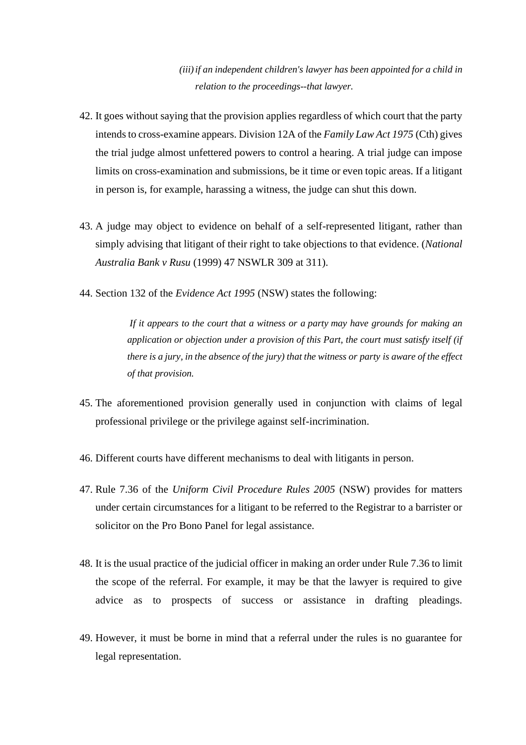*(iii)if an independent [children'](http://classic.austlii.edu.au/au/legis/cth/consol_act/fla1975114/s4.html#child)s [lawyer](http://classic.austlii.edu.au/au/legis/cth/consol_act/fla1975114/s4.html#lawyer) has been appointed for a [child](http://classic.austlii.edu.au/au/legis/cth/consol_act/fla1975114/s4.html#child) in relation to the [proceedings-](http://classic.austlii.edu.au/au/legis/cth/consol_act/fla1975114/s102q.html#proceedings)-that [lawyer.](http://classic.austlii.edu.au/au/legis/cth/consol_act/fla1975114/s4.html#lawyer)*

- 42. It goes without saying that the provision applies regardless of which court that the party intends to cross-examine appears. Division 12A of the *Family Law Act 1975* (Cth) gives the trial judge almost unfettered powers to control a hearing. A trial judge can impose limits on cross-examination and submissions, be it time or even topic areas. If a litigant in person is, for example, harassing a witness, the judge can shut this down.
- 43. A judge may object to evidence on behalf of a self-represented litigant, rather than simply advising that litigant of their right to take objections to that evidence. (*National Australia Bank v Rusu* (1999) 47 NSWLR 309 at 311).
- 44. Section 132 of the *Evidence Act 1995* (NSW) states the following:

*If it appears to the court that a witness or a [party](http://classic.austlii.edu.au/au/legis/cth/consol_act/ea199580/s117.html#party) may have grounds for making an application or objection under a provision of this Part, the court must satisfy itself (if there is a jury, in the absence of the jury) that the witness or [party](http://classic.austlii.edu.au/au/legis/cth/consol_act/ea199580/s117.html#party) is aware of the effect of that provision.*

- 45. The aforementioned provision generally used in conjunction with claims of legal professional privilege or the privilege against self-incrimination.
- 46. Different courts have different mechanisms to deal with litigants in person.
- 47. Rule 7.36 of the *Uniform Civil Procedure Rules 2005* (NSW) provides for matters under certain circumstances for a litigant to be referred to the Registrar to a barrister or solicitor on the Pro Bono Panel for legal assistance.
- 48. It is the usual practice of the judicial officer in making an order under Rule 7.36 to limit the scope of the referral. For example, it may be that the lawyer is required to give advice as to prospects of success or assistance in drafting pleadings.
- 49. However, it must be borne in mind that a referral under the rules is no guarantee for legal representation.